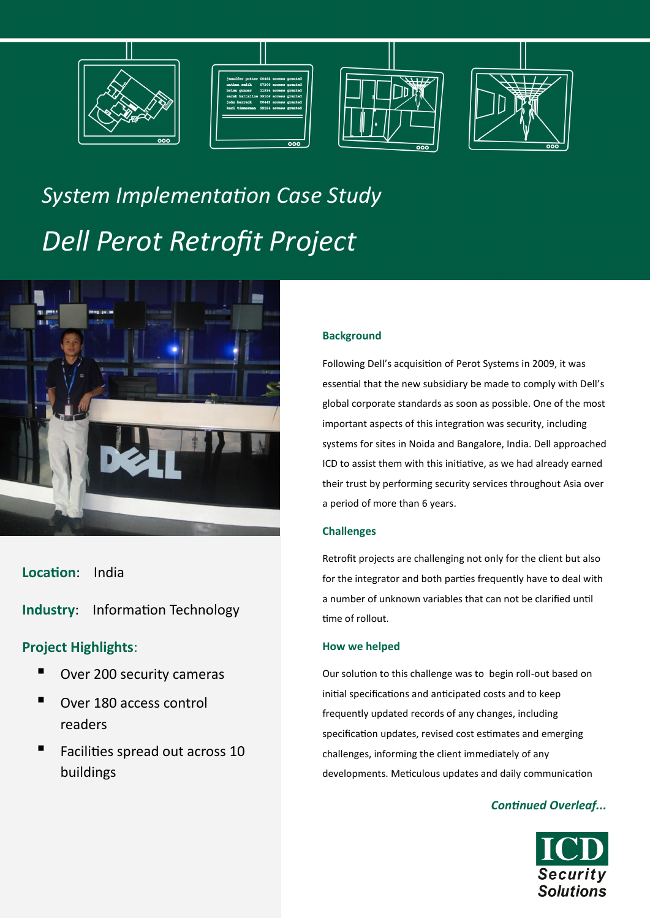







# *System Implementation Case Study Dell Perot Retrofit Project*



**Location**: India

**Industry**: Information Technology

### **Project Highlights**:

- Over 200 security cameras
- Over 180 access control readers
- Facilities spread out across 10 buildings

#### **Background**

Following Dell's acquisition of Perot Systems in 2009, it was essential that the new subsidiary be made to comply with Dell's global corporate standards as soon as possible. One of the most important aspects of this integration was security, including systems for sites in Noida and Bangalore, India. Dell approached ICD to assist them with this initiative, as we had already earned their trust by performing security services throughout Asia over a period of more than 6 years.

#### **Challenges**

Retrofit projects are challenging not only for the client but also for the integrator and both parties frequently have to deal with a number of unknown variables that can not be clarified until time of rollout.

#### **How we helped**

Our solution to this challenge was to begin roll-out based on initial specifications and anticipated costs and to keep frequently updated records of any changes, including specification updates, revised cost estimates and emerging challenges, informing the client immediately of any developments. Meticulous updates and daily communication

#### *Continued Overleaf...*